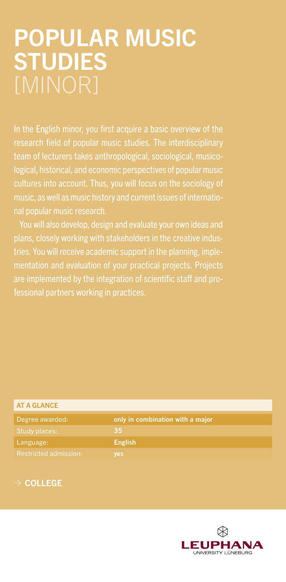## POPULAR MUSIC **STUDIES**

In the English minor, you first acquire a basic overview of the team of lecturers takes anthropological, sociological, musicological, historical, and economic perspectives of popular music cultures into account. Thus, you will focus on the sociology of music, as well as music history and current issues of international popular music research.

You will also develop, design and evaluate your own ideas and plans, closely working with stakeholders in the creative indusmentation and evaluation of your practical projects. Projects fessional partners working in practices.

| <b>AT A GLANCE</b>           |                                  |
|------------------------------|----------------------------------|
| Degree awarded:              | only in combination with a major |
| Study places:                | 35                               |
| Language:                    | <b>English</b>                   |
| <b>Restricted admission:</b> | yes                              |

## $\rightarrow$  COLLEGE